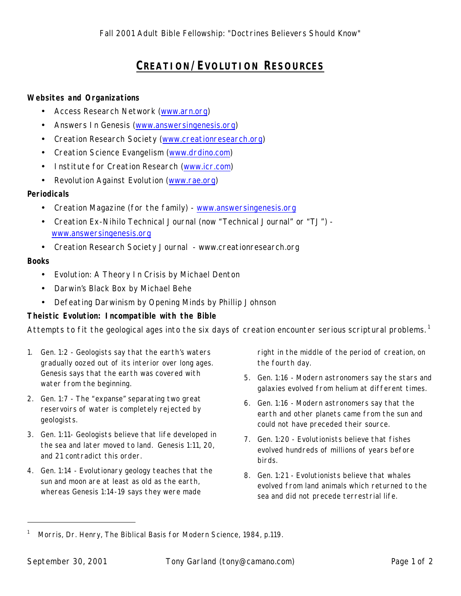# **CREATION/EVOLUTION RESOURCES**

### **Websites and Organizations**

- Access Research Network (www.arn.org)
- Answers In Genesis (www.answersingenesis.org)
- Creation Research Society (www.creationresearch.org)
- Creation Science Evangelism (www.drdino.com)
- Institute for Creation Research (www.icr.com)
- Revolution Against Evolution (www.rae.org)

## **Periodicals**

- Creation Magazine (for the family) www.answersingenesis.org
- Creation Ex-Nihilo Technical Journal (now "Technical Journal" or "TJ") www.answersingenesis.org
- Creation Research Society Journal www.creationresearch.org

### **Books**

- *Evolution: A Theory In Crisis* by Michael Denton
- *Darwin's Black Box* by Michael Behe
- *Defeating Darwinism by Opening Minds* by Phillip Johnson

## **Theistic Evolution: Incompatible with the Bible**

Attempts to fit the geological ages into the six days of creation encounter serious scriptural problems.<sup>1</sup>

- 1. Gen. 1:2 Geologists say that the earth's waters gradually oozed out of its interior over long ages. Genesis says that the earth was covered with water from the beginning.
- 2. Gen. 1:7 The "expanse" separating two great reservoirs of water is completely rejected by geologists.
- 3. Gen. 1:11- Geologists believe that life developed in the sea and later moved to land. Genesis 1:11, 20, and 21 contradict this order.
- 4. Gen. 1:14 Evolutionary geology teaches that the sun and moon are at least as old as the earth, whereas Genesis 1:14-19 says they were made

right in the middle of the period of creation, on the fourth day.

- 5. Gen. 1:16 Modern astronomers say the stars and galaxies evolved from helium at different times.
- 6. Gen. 1:16 Modern astronomers say that the earth and other planets came from the sun and could not have preceded their source.
- 7. Gen. 1:20 Evolutionists believe that fishes evolved hundreds of millions of years before birds.
- 8. Gen. 1:21 Evolutionists believe that whales evolved from land animals which returned to the sea and did not precede terrestrial life.

-

<sup>1</sup> Morris, Dr. Henry, *The Biblical Basis for Modern Science*, 1984, p.119.